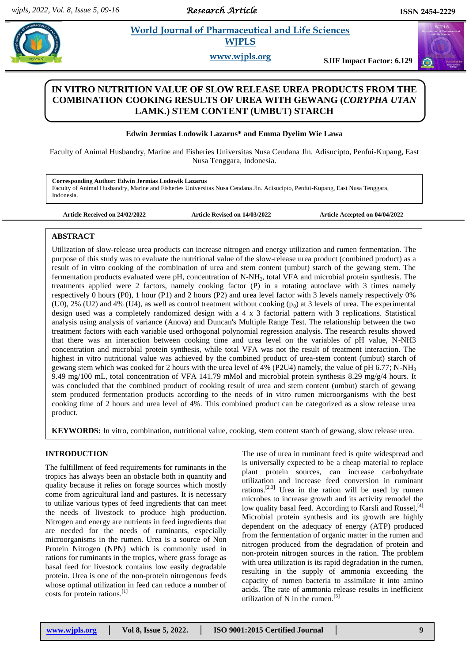*Research Article* 

# **Edwing and Science <b>Edwinned Science 2** *Reserves* **WJPLS**

**www.wjpls.org SJIF Impact Factor: 6.129**

# **IN VITRO NUTRITION VALUE OF SLOW RELEASE UREA PRODUCTS FROM THE COMBINATION COOKING RESULTS OF UREA WITH GEWANG (***CORYPHA UTAN*  **LAMK.) STEM CONTENT (UMBUT) STARCH**

# **Edwin Jermias Lodowik Lazarus\* and Emma Dyelim Wie Lawa**

Faculty of Animal Husbandry, Marine and Fisheries Universitas Nusa Cendana Jln. Adisucipto, Penfui-Kupang, East Nusa Tenggara, Indonesia.

**Corresponding Author: Edwin Jermias Lodowik Lazarus**

Faculty of Animal Husbandry, Marine and Fisheries Universitas Nusa Cendana Jln. Adisucipto, Penfui-Kupang, East Nusa Tenggara, Indonesia.

**Article Received on 24/02/2022 Article Revised on 14/03/2022 Article Accepted on 04/04/2022**

# **ABSTRACT**

Utilization of slow-release urea products can increase nitrogen and energy utilization and rumen fermentation. The purpose of this study was to evaluate the nutritional value of the slow-release urea product (combined product) as a result of in vitro cooking of the combination of urea and stem content (umbut) starch of the gewang stem. The fermentation products evaluated were pH, concentration of N-NH3, total VFA and microbial protein synthesis. The treatments applied were 2 factors, namely cooking factor (P) in a rotating autoclave with 3 times namely respectively 0 hours (P0), 1 hour (P1) and 2 hours (P2) and urea level factor with 3 levels namely respectively 0% (U0), 2% (U2) and 4% (U4), as well as control treatment without cooking  $(p_0)$  at 3 levels of urea. The experimental design used was a completely randomized design with a 4 x 3 factorial pattern with 3 replications. Statistical analysis using analysis of variance (Anova) and Duncan's Multiple Range Test. The relationship between the two treatment factors with each variable used orthogonal polynomial regression analysis. The research results showed that there was an interaction between cooking time and urea level on the variables of pH value, N-NH3 concentration and microbial protein synthesis, while total VFA was not the result of treatment interaction. The highest in vitro nutritional value was achieved by the combined product of urea-stem content (umbut) starch of gewang stem which was cooked for 2 hours with the urea level of 4% (P2U4) namely, the value of pH 6.77; N-NH<sup>3</sup> 9.49 mg/100 mL, total concentration of VFA 141.79 mMol and microbial protein synthesis 8.29 mg/g/4 hours. It was concluded that the combined product of cooking result of urea and stem content (umbut) starch of gewang stem produced fermentation products according to the needs of in vitro rumen microorganisms with the best cooking time of 2 hours and urea level of 4%. This combined product can be categorized as a slow release urea product.

**KEYWORDS:** In vitro, combination, nutritional value, cooking, stem content starch of gewang, slow release urea.

# **INTRODUCTION**

The fulfillment of feed requirements for ruminants in the tropics has always been an obstacle both in quantity and quality because it relies on forage sources which mostly come from agricultural land and pastures. It is necessary to utilize various types of feed ingredients that can meet the needs of livestock to produce high production. Nitrogen and energy are nutrients in feed ingredients that are needed for the needs of ruminants, especially microorganisms in the rumen. Urea is a source of Non Protein Nitrogen (NPN) which is commonly used in rations for ruminants in the tropics, where grass forage as basal feed for livestock contains low easily degradable protein. Urea is one of the non-protein nitrogenous feeds whose optimal utilization in feed can reduce a number of costs for protein rations.<sup>[1]</sup>

The use of urea in ruminant feed is quite widespread and is universally expected to be a cheap material to replace plant protein sources, can increase carbohydrate utilization and increase feed conversion in ruminant rations.<sup>[2,3]</sup> Urea in the ration will be used by rumen microbes to increase growth and its activity remodel the low quality basal feed. According to Karsli and Russel, [4] Microbial protein synthesis and its growth are highly dependent on the adequacy of energy (ATP) produced from the fermentation of organic matter in the rumen and nitrogen produced from the degradation of protein and non-protein nitrogen sources in the ration. The problem with urea utilization is its rapid degradation in the rumen, resulting in the supply of ammonia exceeding the capacity of rumen bacteria to assimilate it into amino acids. The rate of ammonia release results in inefficient utilization of N in the rumen.<sup>[5]</sup>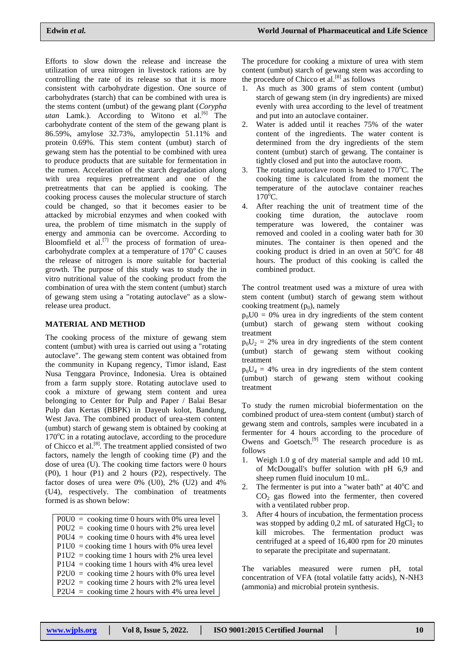Efforts to slow down the release and increase the utilization of urea nitrogen in livestock rations are by controlling the rate of its release so that it is more consistent with carbohydrate digestion. One source of carbohydrates (starch) that can be combined with urea is the stems content (umbut) of the gewang plant (*Corypha* utan Lamk.). According to Witono et al.<sup>[6]</sup> The carbohydrate content of the stem of the gewang plant is 86.59%, amylose 32.73%, amylopectin 51.11% and protein 0.69%. This stem content (umbut) starch of gewang stem has the potential to be combined with urea to produce products that are suitable for fermentation in the rumen. Acceleration of the starch degradation along with urea requires pretreatment and one of the pretreatments that can be applied is cooking. The cooking process causes the molecular structure of starch could be changed, so that it becomes easier to be attacked by microbial enzymes and when cooked with urea, the problem of time mismatch in the supply of energy and ammonia can be overcome. According to Bloomfield et al. $^{[7]}$  the process of formation of ureacarbohydrate complex at a temperature of  $170^{\circ}$  C causes the release of nitrogen is more suitable for bacterial growth. The purpose of this study was to study the in vitro nutritional value of the cooking product from the combination of urea with the stem content (umbut) starch of gewang stem using a "rotating autoclave" as a slowrelease urea product.

# **MATERIAL AND METHOD**

The cooking process of the mixture of gewang stem content (umbut) with urea is carried out using a "rotating autoclave". The gewang stem content was obtained from the community in Kupang regency, Timor island, East Nusa Tenggara Province, Indonesia. Urea is obtained from a farm supply store. Rotating autoclave used to cook a mixture of gewang stem content and urea belonging to Center for Pulp and Paper / Balai Besar Pulp dan Kertas (BBPK) in Dayeuh kolot, Bandung, West Java. The combined product of urea-stem content (umbut) starch of gewang stem is obtained by cooking at  $170^{\circ}$ C in a rotating autoclave, according to the procedure of Chicco et al.<sup>[8]</sup>. The treatment applied consisted of two factors, namely the length of cooking time (P) and the dose of urea (U). The cooking time factors were 0 hours (P0), 1 hour (P1) and 2 hours (P2), respectively. The factor doses of urea were  $0\%$  (U0),  $2\%$  (U2) and  $4\%$ (U4), respectively. The combination of treatments formed is as shown below:

 $P0U0 = \text{cooking time } 0 \text{ hours with } 0\% \text{ area level}$  $P0U2 = \text{cooking time } 0 \text{ hours with } 2\% \text{ area level}$  $P0U4 = \text{cooking time } 0 \text{ hours with } 4\% \text{ area level}$  $P1U0 = \text{cooking time } 1 \text{ hours with } 0\% \text{ area level}$ P1U2 = cooking time 1 hours with 2% urea level  $P1U4 = \text{cooking time 1 hours with 4% area level}$  $P2U0 = \text{cooking time } 2 \text{ hours with } 0\% \text{ area level}$ P2U2 = cooking time 2 hours with 2% urea level  $P2U4 = \text{cooking time } 2 \text{ hours with } 4\% \text{ area level}$ 

The procedure for cooking a mixture of urea with stem content (umbut) starch of gewang stem was according to the procedure of Chicco et al.<sup>[8]</sup> as follows

- 1. As much as 300 grams of stem content (umbut) starch of gewang stem (in dry ingredients) are mixed evenly with urea according to the level of treatment and put into an autoclave container.
- 2. Water is added until it reaches 75% of the water content of the ingredients. The water content is determined from the dry ingredients of the stem content (umbut) starch of gewang. The container is tightly closed and put into the autoclave room.
- The rotating autoclave room is heated to  $170^{\circ}$ C. The cooking time is calculated from the moment the temperature of the autoclave container reaches  $170^{\circ}$ C.
- 4. After reaching the unit of treatment time of the cooking time duration, the autoclave room temperature was lowered, the container was removed and cooled in a cooling water bath for 30 minutes. The container is then opened and the cooking product is dried in an oven at  $50^{\circ}$ C for 48 hours. The product of this cooking is called the combined product.

The control treatment used was a mixture of urea with stem content (umbut) starch of gewang stem without cooking treatment  $(p_0)$ , namely

 $p_0U0 = 0$ % urea in dry ingredients of the stem content (umbut) starch of gewang stem without cooking treatment

 $p_0U_2 = 2\%$  urea in dry ingredients of the stem content (umbut) starch of gewang stem without cooking treatment

 $p_0U_4 = 4\%$  urea in dry ingredients of the stem content (umbut) starch of gewang stem without cooking treatment

To study the rumen microbial biofermentation on the combined product of urea-stem content (umbut) starch of gewang stem and controls, samples were incubated in a fermenter for 4 hours according to the procedure of Owens and Goetsch.<sup>[9]</sup> The research procedure is as follows

- 1. Weigh 1.0 g of dry material sample and add 10 mL of McDougall's buffer solution with pH 6,9 and sheep rumen fluid inoculum 10 mL.
- 2. The fermenter is put into a "water bath" at  $40^{\circ}$ C and  $CO<sub>2</sub>$  gas flowed into the fermenter, then covered with a ventilated rubber prop.
- 3. After 4 hours of incubation, the fermentation process was stopped by adding  $0.2$  mL of saturated HgCl<sub>2</sub> to kill microbes. The fermentation product was centrifuged at a speed of 16,400 rpm for 20 minutes to separate the precipitate and supernatant.

The variables measured were rumen pH, total concentration of VFA (total volatile fatty acids), N-NH3 (ammonia) and microbial protein synthesis.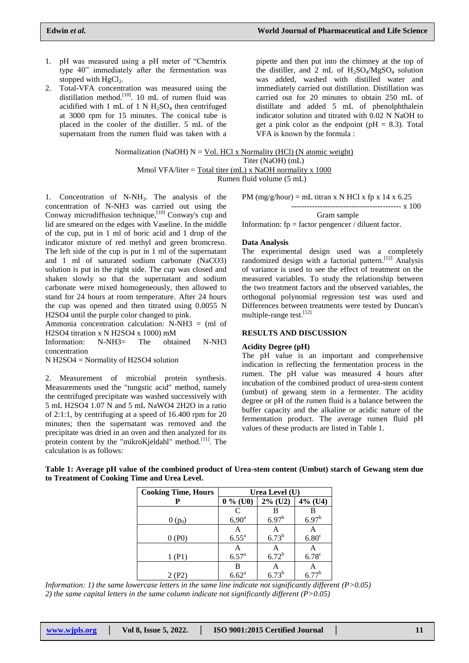- 1. pH was measured using a pH meter of "Chemtrix type 40" immediately after the fermentation was stopped with  $HgCl<sub>2</sub>$ .
- 2. Total-VFA concentration was measured using the distillation method.<sup>[10]</sup>. 10 mL of rumen fluid was acidified with 1 mL of 1 N  $H_2SO_4$  then centrifuged at 3000 rpm for 15 minutes. The conical tube is placed in the cooler of the distiller. 5 mL of the supernatant from the rumen fluid was taken with a

pipette and then put into the chimney at the top of the distiller, and 2 mL of  $H_2SO_4/MgSO_4$  solution was added, washed with distilled water and immediately carried out distillation. Distillation was carried out for 20 minutes to obtain 250 mL of distillate and added 5 mL of phenolphthalein indicator solution and titrated with 0.02 N NaOH to get a pink color as the endpoint ( $pH = 8.3$ ). Total VFA is known by the formula :

Normalization (NaOH) N = Vol. HCl x Normality (HCl) (N atomic weight) Titer (NaOH) (mL) Mmol VFA/liter = Total titer (mL) x NaOH normality x 1000 Rumen fluid volume (5 mL)

1. Concentration of N-NH3. The analysis of the concentration of N-NH3 was carried out using the Conway microdiffusion technique,  $[10]$  Conway's cup and lid are smeared on the edges with Vaseline. In the middle of the cup, put in 1 ml of boric acid and 1 drop of the indicator mixture of red methyl and green bromcreso. The left side of the cup is put in 1 ml of the supernatant and 1 ml of saturated sodium carbonate (NaCO3) solution is put in the right side. The cup was closed and shaken slowly so that the supernatant and sodium carbonate were mixed homogeneously, then allowed to stand for 24 hours at room temperature. After 24 hours the cup was opened and then titrated using 0.0055 N H2SO4 until the purple color changed to pink.

Ammonia concentration calculation:  $N-NH3 = (ml \ of$ H2SO4 titration x N H2SO4 x 1000) mM

Information: N-NH3= The obtained N-NH3 concentration

N H2SO4 = Normality of H2SO4 solution

2. Measurement of microbial protein synthesis. Measurements used the "tungstic acid" method, namely the centrifuged precipitate was washed successively with 5 mL H2SO4 1.07 N and 5 mL NaWO4 2H2O in a ratio of 2:1:1, by centrifuging at a speed of 16.400 rpm for 20 minutes; then the supernatant was removed and the precipitate was dried in an oven and then analyzed for its protein content by the "mikroKjeldahl" method.<sup>[11]</sup>. The calculation is as follows:

PM ( $mg/g/hour$ ) = mL titran x N HCl x fp x 14 x 6.25

----------------------------------- x 100 Gram sample

Information: fp = factor pengencer / diluent factor.

#### **Data Analysis**

The experimental design used was a completely randomized design with a factorial pattern.<sup>[12]</sup> Analysis of variance is used to see the effect of treatment on the measured variables. To study the relationship between the two treatment factors and the observed variables, the orthogonal polynomial regression test was used and Differences between treatments were tested by Duncan's multiple-range test.<sup>[12]</sup>

## **RESULTS AND DISCUSSION**

#### **Acidity Degree (pH)**

The pH value is an important and comprehensive indication in reflecting the fermentation process in the rumen. The pH value was measured 4 hours after incubation of the combined product of urea-stem content (umbut) of gewang stem in a fermenter. The acidity degree or pH of the rumen fluid is a balance between the buffer capacity and the alkaline or acidic nature of the fermentation product. The average rumen fluid pH values of these products are listed in Table 1.

**Table 1: Average pH value of the combined product of Urea-stem content (Umbut) starch of Gewang stem due to Treatment of Cooking Time and Urea Level.**

| <b>Cooking Time, Hours</b> | Urea Level (U)    |            |                     |
|----------------------------|-------------------|------------|---------------------|
|                            | $0\%$ (U0)        | $2\%$ (U2) | $4\%$ (U4)          |
|                            | C                 |            |                     |
| $0(p_0)$                   | $6,90^{\rm a}$    | $6.97^{b}$ | $6.97^{b}$          |
|                            | A                 |            |                     |
| 0(P0)                      | $6.55^a$          | $6.73^{b}$ | 6.80 <sup>c</sup>   |
|                            | Α                 | A          |                     |
| 1 (P1)                     | $6.57^{a}$        | $6.72^{b}$ | $6.78$ <sup>c</sup> |
|                            | В                 |            |                     |
| 2 (P2)                     | $6.62^{\text{a}}$ | $6.73^{b}$ | $6.77^{b}$          |

*Information: 1) the same lowercase letters in the same line indicate not significantly different (P>0.05) 2) the same capital letters in the same column indicate not significantly different (P>0.05)*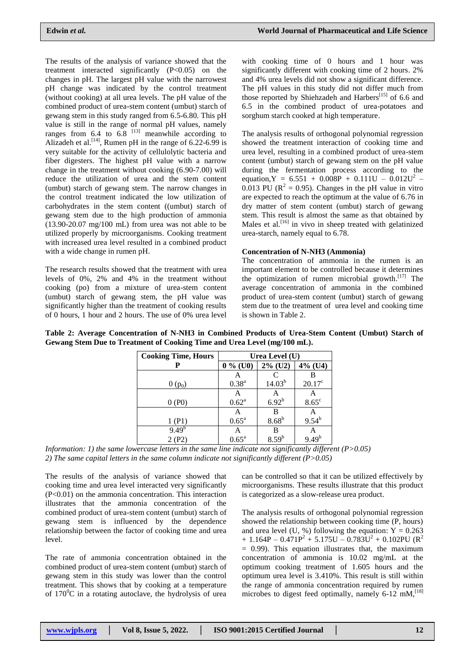The results of the analysis of variance showed that the treatment interacted significantly (P<0.05) on the changes in pH. The largest pH value with the narrowest pH change was indicated by the control treatment (without cooking) at all urea levels. The pH value of the combined product of urea-stem content (umbut) starch of gewang stem in this study ranged from 6.5-6.80. This pH value is still in the range of normal pH values, namely ranges from  $6.4$  to  $6.8$  <sup>[13]</sup> meanwhile according to Alizadeh et al.<sup>[14]</sup>, Rumen pH in the range of  $6.22$ -6.99 is very suitable for the activity of cellulolytic bacteria and fiber digesters. The highest pH value with a narrow change in the treatment without cooking (6.90-7.00) will reduce the utilization of urea and the stem content (umbut) starch of gewang stem. The narrow changes in the control treatment indicated the low utilization of carbohydrates in the stem content ((umbut) starch of gewang stem due to the high production of ammonia (13.90-20.07 mg/100 mL) from urea was not able to be utilized properly by microorganisms. Cooking treatment with increased urea level resulted in a combined product with a wide change in rumen pH.

The research results showed that the treatment with urea levels of 0%, 2% and 4% in the treatment without cooking (po) from a mixture of urea-stem content (umbut) starch of gewang stem, the pH value was significantly higher than the treatment of cooking results of 0 hours, 1 hour and 2 hours. The use of 0% urea level

with cooking time of 0 hours and 1 hour was significantly different with cooking time of 2 hours. 2% and 4% urea levels did not show a significant difference. The pH values in this study did not differ much from those reported by Shiehzadeh and Harbers<sup>[15]</sup> of 6.6 and 6.5 in the combined product of urea-potatoes and sorghum starch cooked at high temperature.

The analysis results of orthogonal polynomial regression showed the treatment interaction of cooking time and urea level, resulting in a combined product of urea-stem content (umbut) starch of gewang stem on the pH value during the fermentation process according to the equation,  $Y = 6.551 + 0.008P + 0.111U - 0.012U^2$ 0.013 PU ( $\mathbb{R}^2 = 0.95$ ). Changes in the pH value in vitro are expected to reach the optimum at the value of 6.76 in dry matter of stem content (umbut) starch of gewang stem. This result is almost the same as that obtained by Males et al. $^{[16]}$  in vivo in sheep treated with gelatinized urea-starch, namely equal to 6.78.

# **Concentration of N-NH3 (Ammonia)**

The concentration of ammonia in the rumen is an important element to be controlled because it determines the optimization of rumen microbial growth. [17] The average concentration of ammonia in the combined product of urea-stem content (umbut) starch of gewang stem due to the treatment of urea level and cooking time is shown in Table 2.

| Table 2: Average Concentration of N-NH3 in Combined Products of Urea-Stem Content (Umbut) Starch of |  |  |  |  |
|-----------------------------------------------------------------------------------------------------|--|--|--|--|
| Gewang Stem Due to Treatment of Cooking Time and Urea Level (mg/100 mL).                            |  |  |  |  |

| <b>Cooking Time, Hours</b> | Urea Level (U) |                   |                          |
|----------------------------|----------------|-------------------|--------------------------|
|                            | $0\%$ (U0)     | $2\%$ (U2)        | $4\%$ (U4)               |
|                            | А              |                   |                          |
| $0(p_0)$                   | $0.38^{a}$     | $14.03^{b}$       | $20.17^{\circ}$          |
|                            | А              | А                 | А                        |
| 0(P0)                      | $0.62^a$       | $6.92^{b}$        | $8.65^{\circ}$           |
|                            | A              | B                 |                          |
| (P1)                       | $0.65^{\rm a}$ | 8.68 <sup>b</sup> | $A$<br>9.54 <sup>b</sup> |
| $9.49^{b}$                 | A              | В                 | A                        |
| 2 (P2)                     | $0.65^{\rm a}$ | $8.59^{b}$        | $9.49^{b}$               |

*Information: 1) the same lowercase letters in the same line indicate not significantly different (P>0.05) 2) The same capital letters in the same column indicate not significantly different (P>0.05)*

The results of the analysis of variance showed that cooking time and urea level interacted very significantly (P<0.01) on the ammonia concentration. This interaction illustrates that the ammonia concentration of the combined product of urea-stem content (umbut) starch of gewang stem is influenced by the dependence relationship between the factor of cooking time and urea level.

The rate of ammonia concentration obtained in the combined product of urea-stem content (umbut) starch of gewang stem in this study was lower than the control treatment. This shows that by cooking at a temperature of  $170^{\circ}$ C in a rotating autoclave, the hydrolysis of urea

can be controlled so that it can be utilized effectively by microorganisms. These results illustrate that this product is categorized as a slow-release urea product.

The analysis results of orthogonal polynomial regression showed the relationship between cooking time (P, hours) and urea level (U, %) following the equation:  $Y = 0.263$  $+ 1.164P - 0.471P^2 + 5.175U - 0.783U^2 + 0.102PU (R^2)$  $= 0.99$ ). This equation illustrates that, the maximum concentration of ammonia is 10.02 mg/mL at the optimum cooking treatment of 1.605 hours and the optimum urea level is 3.410%. This result is still within the range of ammonia concentration required by rumen microbes to digest feed optimally, namely 6-12 mM, <sup>[18]</sup>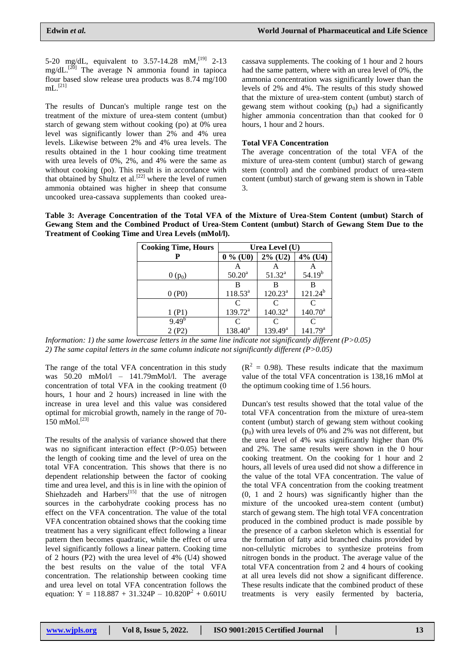5-20 mg/dL, equivalent to  $3.57$ -14.28 mM,<sup>[19]</sup> 2-13 mg/dL.<sup>[20]</sup> The average N ammonia found in tapioca flour based slow release urea products was 8.74 mg/100  $\mathrm{mL}.^{\left[ 21\right] }$ 

The results of Duncan's multiple range test on the treatment of the mixture of urea-stem content (umbut) starch of gewang stem without cooking (po) at 0% urea level was significantly lower than 2% and 4% urea levels. Likewise between 2% and 4% urea levels. The results obtained in the 1 hour cooking time treatment with urea levels of 0%, 2%, and 4% were the same as without cooking (po). This result is in accordance with that obtained by Shultz et al.<sup>[22]</sup> where the level of rumen ammonia obtained was higher in sheep that consume uncooked urea-cassava supplements than cooked urea-

cassava supplements. The cooking of 1 hour and 2 hours had the same pattern, where with an urea level of 0%, the ammonia concentration was significantly lower than the levels of 2% and 4%. The results of this study showed that the mixture of urea-stem content (umbut) starch of gewang stem without cooking  $(p_0)$  had a significantly higher ammonia concentration than that cooked for 0 hours, 1 hour and 2 hours.

## **Total VFA Concentration**

The average concentration of the total VFA of the mixture of urea-stem content (umbut) starch of gewang stem (control) and the combined product of urea-stem content (umbut) starch of gewang stem is shown in Table 3.

**Table 3: Average Concentration of the Total VFA of the Mixture of Urea-Stem Content (umbut) Starch of Gewang Stem and the Combined Product of Urea-Stem Content (umbut) Starch of Gewang Stem Due to the Treatment of Cooking Time and Urea Levels (mMol/l).**

| <b>Cooking Time, Hours</b> | Urea Level (U) |            |              |
|----------------------------|----------------|------------|--------------|
|                            | $0\%$ (U0)     | $2\%$ (U2) | $4\%$ (U4)   |
|                            |                |            |              |
| $0(p_0)$                   | $50.20^a$      | $51.32^a$  | $54.19^{b}$  |
|                            | В              | В          |              |
| 0(P0)                      | $118.53^a$     | $120.23^a$ | $121.24^{b}$ |
|                            | C              | C          |              |
| 1 (P1)                     | $139.72^a$     | $140.32^a$ | $140.70^a$   |
| $9.49^{b}$                 | C              |            |              |
|                            | $138.40^a$     | $139.49^a$ | $141.79^{a}$ |

*Information: 1) the same lowercase letters in the same line indicate not significantly different (P>0.05) 2) The same capital letters in the same column indicate not significantly different (P>0.05)*

The range of the total VFA concentration in this study was 50.20 mMol/l – 141.79mMol/l. The average concentration of total VFA in the cooking treatment (0 hours, 1 hour and 2 hours) increased in line with the increase in urea level and this value was considered optimal for microbial growth, namely in the range of 70-  $150$  mMol.<sup>[23]</sup>

The results of the analysis of variance showed that there was no significant interaction effect (P>0.05) between the length of cooking time and the level of urea on the total VFA concentration. This shows that there is no dependent relationship between the factor of cooking time and urea level, and this is in line with the opinion of Shiehzadeh and Harbers<sup>[15]</sup> that the use of nitrogen sources in the carbohydrate cooking process has no effect on the VFA concentration. The value of the total VFA concentration obtained shows that the cooking time treatment has a very significant effect following a linear pattern then becomes quadratic, while the effect of urea level significantly follows a linear pattern. Cooking time of 2 hours (P2) with the urea level of 4% (U4) showed the best results on the value of the total VFA concentration. The relationship between cooking time and urea level on total VFA concentration follows the equation:  $Y = 118.887 + 31.324P - 10.820P^2 + 0.601U$   $(R<sup>2</sup> = 0.98)$ . These results indicate that the maximum value of the total VFA concentration is 138,16 mMol at the optimum cooking time of 1.56 hours.

Duncan's test results showed that the total value of the total VFA concentration from the mixture of urea-stem content (umbut) starch of gewang stem without cooking  $(p_0)$  with urea levels of 0% and 2% was not different, but the urea level of 4% was significantly higher than 0% and 2%. The same results were shown in the 0 hour cooking treatment. On the cooking for 1 hour and 2 hours, all levels of urea used did not show a difference in the value of the total VFA concentration. The value of the total VFA concentration from the cooking treatment (0, 1 and 2 hours) was significantly higher than the mixture of the uncooked urea-stem content (umbut) starch of gewang stem. The high total VFA concentration produced in the combined product is made possible by the presence of a carbon skeleton which is essential for the formation of fatty acid branched chains provided by non-cellulytic microbes to synthesize proteins from nitrogen bonds in the product. The average value of the total VFA concentration from 2 and 4 hours of cooking at all urea levels did not show a significant difference. These results indicate that the combined product of these treatments is very easily fermented by bacteria,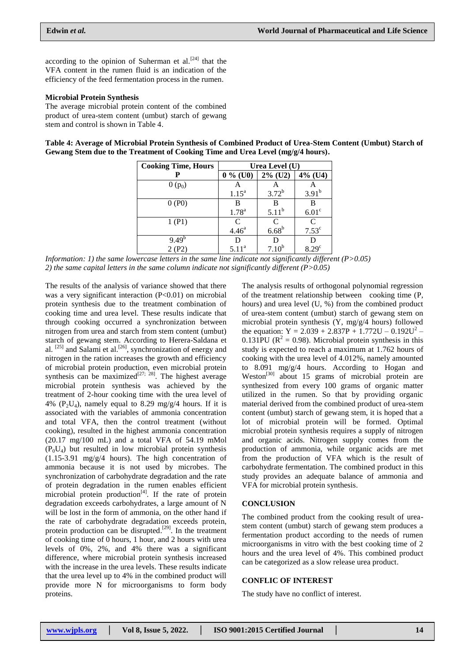according to the opinion of Suherman et al.<sup>[24]</sup> that the VFA content in the rumen fluid is an indication of the efficiency of the feed fermentation process in the rumen.

## **Microbial Protein Synthesis**

The average microbial protein content of the combined product of urea-stem content (umbut) starch of gewang stem and control is shown in Table 4.

**Table 4: Average of Microbial Protein Synthesis of Combined Product of Urea-Stem Content (Umbut) Starch of Gewang Stem due to the Treatment of Cooking Time and Urea Level (mg/g/4 hours).**

| <b>Cooking Time, Hours</b> | Urea Level (U)           |                   |                   |
|----------------------------|--------------------------|-------------------|-------------------|
| Р                          | $0\%$ (U0)               | $2\%$ (U2)        | $4\%$ (U4)        |
| $0(p_0)$                   |                          |                   |                   |
|                            | $1.15^a$                 | $3.72^{b}$        | $3.91^{b}$        |
| 0(P0)                      |                          | B                 | B                 |
|                            | $1.78^{a}$               | $5.11^{b}$        | 6.01 <sup>c</sup> |
| 1(P1)                      | $C$<br>4.46 <sup>a</sup> | $\frac{C}{6.68}$  | C                 |
|                            |                          |                   | 7.53 <sup>c</sup> |
| $9.49^{b}$                 | D                        |                   |                   |
| 2(P2)                      | 5.11 <sup>a</sup>        | 7.10 <sup>b</sup> | 8.29 <sup>c</sup> |

*Information: 1) the same lowercase letters in the same line indicate not significantly different (P>0.05) 2) the same capital letters in the same column indicate not significantly different (P>0.05)*

The results of the analysis of variance showed that there was a very significant interaction  $(P<0.01)$  on microbial protein synthesis due to the treatment combination of cooking time and urea level. These results indicate that through cooking occurred a synchronization between nitrogen from urea and starch from stem content (umbut) starch of gewang stem. According to Herera-Saldana et al.  $^{[25]}$  and Salami et al.<sup>[26]</sup>, synchronization of energy and nitrogen in the ration increases the growth and efficiency of microbial protein production, even microbial protein synthesis can be maximized<sup>[27; 28]</sup>. The highest average microbial protein synthesis was achieved by the treatment of 2-hour cooking time with the urea level of 4% (P<sub>2</sub>U<sub>4</sub>), namely equal to 8.29 mg/g/4 hours. If it is associated with the variables of ammonia concentration and total VFA, then the control treatment (without cooking), resulted in the highest ammonia concentration  $(20.17 \text{ mg}/100 \text{ mL})$  and a total VFA of 54.19 mMol  $(P_0U_4)$  but resulted in low microbial protein synthesis (1.15-3.91 mg/g/4 hours). The high concentration of ammonia because it is not used by microbes. The synchronization of carbohydrate degradation and the rate of protein degradation in the rumen enables efficient microbial protein production<sup>[4]</sup>. If the rate of protein degradation exceeds carbohydrates, a large amount of N will be lost in the form of ammonia, on the other hand if the rate of carbohydrate degradation exceeds protein, protein production can be disrupted.<sup>[29]</sup>. In the treatment of cooking time of 0 hours, 1 hour, and 2 hours with urea levels of 0%, 2%, and 4% there was a significant difference, where microbial protein synthesis increased with the increase in the urea levels. These results indicate that the urea level up to 4% in the combined product will provide more N for microorganisms to form body proteins.

The analysis results of orthogonal polynomial regression of the treatment relationship between cooking time (P, hours) and urea level (U, %) from the combined product of urea-stem content (umbut) starch of gewang stem on microbial protein synthesis (Y, mg/g/4 hours) followed the equation:  $Y = 2.039 + 2.837P + 1.772U - 0.192U^2$  $0.131$ PU ( $\mathbb{R}^2 = 0.98$ ). Microbial protein synthesis in this study is expected to reach a maximum at 1.762 hours of cooking with the urea level of 4.012%, namely amounted to 8.091 mg/g/4 hours. According to Hogan and Weston<sup>[30]</sup> about 15 grams of microbial protein are synthesized from every 100 grams of organic matter utilized in the rumen. So that by providing organic material derived from the combined product of urea-stem content (umbut) starch of gewang stem, it is hoped that a lot of microbial protein will be formed. Optimal microbial protein synthesis requires a supply of nitrogen and organic acids. Nitrogen supply comes from the production of ammonia, while organic acids are met from the production of VFA which is the result of carbohydrate fermentation. The combined product in this study provides an adequate balance of ammonia and VFA for microbial protein synthesis.

### **CONCLUSION**

The combined product from the cooking result of ureastem content (umbut) starch of gewang stem produces a fermentation product according to the needs of rumen microorganisms in vitro with the best cooking time of 2 hours and the urea level of 4%. This combined product can be categorized as a slow release urea product.

### **CONFLIC OF INTEREST**

The study have no conflict of interest.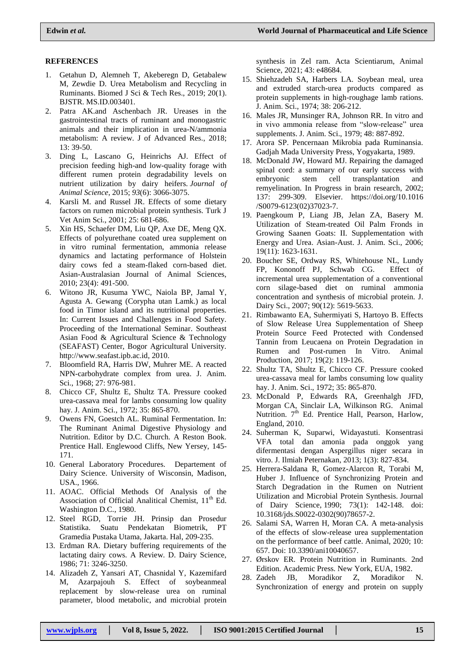## **REFERENCES**

- 1. Getahun D, Alemneh T, Akeberegn D, Getabalew M, Zewdie D. Urea Metabolism and Recycling in Ruminants. Biomed J Sci & Tech Res., 2019; 20(1). BJSTR. MS.ID.003401.
- 2. Patra AK.and Aschenbach JR. Ureases in the gastrointestinal tracts of ruminant and monogastric animals and their implication in urea-N/ammonia metabolism: A review. J of Advanced Res., 2018; 13: 39-50.
- 3. Ding L, Lascano G, Heinrichs AJ. Effect of precision feeding high-and low-quality forage with different rumen protein degradability levels on nutrient utilization by dairy heifers. *Journal of Animal Science*, 2015; *93*(6): 3066-3075.
- 4. Karsli M. and Russel JR. Effects of some dietary factors on rumen microbial protein synthesis. Turk J Vet Anim Sci., 2001; 25: 681-686.
- 5. Xin HS, Schaefer DM, Liu QP, Axe DE, Meng QX. Effects of polyurethane coated urea supplement on in vitro ruminal fermentation, ammonia release dynamics and lactating performance of Holstein dairy cows fed a steam-flaked corn-based diet. Asian-Australasian Journal of Animal Sciences, 2010; 23(4): 491-500.
- 6. Witono JR, Kusuma YWC, Naiola BP, Jamal Y, Agusta A. Gewang (Corypha utan Lamk.) as local food in Timor island and its nutritional properties. In: Current Issues and Challenges in Food Safety. Proceeding of the International Seminar. Southeast Asian Food & Agricultural Science & Technology (SEAFAST) Center, Bogor Agricultural University. [http://www.seafast.ipb.ac.id,](http://www.seafast.ipb.ac.id/) 2010.
- 7. Bloomfield RA, Harris DW, Muhrer ME. A reacted NPN-carbohydrate complex from urea. J. Anim. Sci., 1968; 27: 976-981.
- 8. Chicco CF, Shultz E, Shultz TA. Pressure cooked urea-cassava meal for lambs consuming low quality hay. J. Anim. Sci., 1972; 35: 865-870.
- 9. Owens FN, Goestch AL. Ruminal Fermentation. In: The Ruminant Animal Digestive Physiology and Nutrition. Editor by D.C. Church. A Reston Book. Prentice Hall. Englewood Cliffs, New Yersey, 145- 171.
- 10. General Laboratory Procedures. Departement of Dairy Science. University of Wisconsin, Madison, USA., 1966.
- 11. AOAC. Official Methods Of Analysis of the Association of Official Analitical Chemist, 11<sup>th</sup> Ed. Washington D.C., 1980.
- 12. Steel RGD, Torrie JH. Prinsip dan Prosedur Statistika. Suatu Pendekatan Biometrik, PT Gramedia Pustaka Utama, Jakarta. Hal, 209-235.
- 13. Erdman RA. Dietary buffering requirements of the lactating dairy cows. A Review. D. Dairy Science, 1986; 71: 3246-3250.
- 14. Alizadeh Z, Yansari AT, Chasnidal Y, Kazemifard M, Azarpajouh S. Effect of soybeanmeal replacement by slow-release urea on ruminal parameter, blood metabolic, and microbial protein

synthesis in Zel ram. Acta Scientiarum, Animal Science, 2021; 43: e48684.

- 15. Shiehzadeh SA, Harbers LA. Soybean meal, urea and extruded starch-urea products compared as protein supplements in high-roughage lamb rations. J. Anim. Sci., 1974; 38: 206-212.
- 16. Males JR, Munsinger RA, Johnson RR. In vitro and in vivo ammonia release from "slow-release" urea supplements. J. Anim. Sci., 1979; 48: 887-892.
- 17. Arora SP. Pencernaan Mikrobia pada Ruminansia. Gadjah Mada University Press, Yogyakarta, 1989.
- 18. McDonald JW, Howard MJ. Repairing the damaged spinal cord: a summary of our early success with embryonic stem cell transplantation and remyelination. In Progress in brain research, 2002; 137: 299-309. Elsevier. [https://doi.org/10.1016](https://doi.org/10.1016/S0079-6123(02)37023-7) [/S0079-6123\(02\)37023-7.](https://doi.org/10.1016/S0079-6123(02)37023-7)
- 19. Paengkoum P, Liang JB, Jelan ZA, Basery M. Utilization of Steam-treated Oil Palm Fronds in Growing Saanen Goats: II. Supplementation with Energy and Urea. Asian-Aust. J. Anim. Sci., 2006; 19(11): 1623-1631.
- 20. Boucher SE, Ordway RS, Whitehouse NL, Lundy FP, Kononoff PJ, Schwab CG. Effect of incremental urea supplementation of a conventional corn silage-based diet on ruminal ammonia concentration and synthesis of microbial protein. J. Dairy Sci., 2007; 90(12): 5619-5633.
- 21. Rimbawanto EA, Suhermiyati S, Hartoyo B. Effects of Slow Release Urea Supplementation of Sheep Protein Source Feed Protected with Condensed Tannin from Leucaena on Protein Degradation in Rumen and Post-rumen In Vitro. Animal Production, 2017; 19(2): 119-126.
- 22. Shultz TA, Shultz E, Chicco CF. Pressure cooked urea-cassava meal for lambs consuming low quality hay. J. Anim. Sci., 1972; 35: 865-870.
- 23. McDonald P, Edwards RA, Greenhalgh JFD, Morgan CA, Sinclair LA, Wilkinson RG. Animal Nutrition. 7<sup>th</sup> Ed. Prentice Hall, Pearson, Harlow, England, 2010.
- 24. Suherman K, Suparwi, Widayastuti. Konsentrasi VFA total dan amonia pada onggok yang difermentasi dengan Aspergillus niger secara in vitro. J. Ilmiah Peternakan, 2013; 1(3): 827-834.
- 25. Herrera-Saldana R, Gomez-Alarcon R, Torabi M, Huber J. Influence of Synchronizing Protein and Starch Degradation in the Rumen on Nutrient Utilization and Microbial Protein Synthesis. Journal of Dairy Science, 1990; 73(1): 142-148. doi: 10.3168/jds.S0022-0302(90)78657-2.
- 26. Salami SA, Warren H, Moran CA. A meta-analysis of the effects of slow-release urea supplementation on the performance of beef cattle. Animal, 2020; 10: 657. Doi: 10.3390/ani10040657.
- 27. Ørskov ER. Protein Nutrition in Ruminants. 2nd Edition. Academic Press. New York, EUA, 1982.
- 28. Zadeh JB, Moradikor Z, Moradikor N. Synchronization of energy and protein on supply